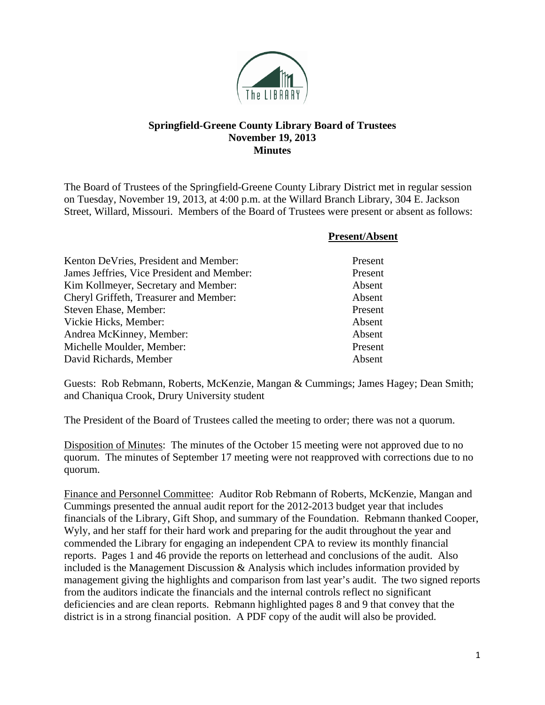

## **Springfield-Greene County Library Board of Trustees November 19, 2013 Minutes**

The Board of Trustees of the Springfield-Greene County Library District met in regular session on Tuesday, November 19, 2013, at 4:00 p.m. at the Willard Branch Library, 304 E. Jackson Street, Willard, Missouri. Members of the Board of Trustees were present or absent as follows:

|                                            | <b>Present/Absent</b> |
|--------------------------------------------|-----------------------|
| Kenton DeVries, President and Member:      | Present               |
| James Jeffries, Vice President and Member: | Present               |
| Kim Kollmeyer, Secretary and Member:       | Absent                |
| Cheryl Griffeth, Treasurer and Member:     | Absent                |
| Steven Ehase, Member:                      | Present               |
| Vickie Hicks, Member:                      | Absent                |
| Andrea McKinney, Member:                   | Absent                |
| Michelle Moulder, Member:                  | Present               |
| David Richards, Member                     | Absent                |

Guests: Rob Rebmann, Roberts, McKenzie, Mangan & Cummings; James Hagey; Dean Smith; and Chaniqua Crook, Drury University student

The President of the Board of Trustees called the meeting to order; there was not a quorum.

Disposition of Minutes: The minutes of the October 15 meeting were not approved due to no quorum. The minutes of September 17 meeting were not reapproved with corrections due to no quorum.

Finance and Personnel Committee: Auditor Rob Rebmann of Roberts, McKenzie, Mangan and Cummings presented the annual audit report for the 2012-2013 budget year that includes financials of the Library, Gift Shop, and summary of the Foundation. Rebmann thanked Cooper, Wyly, and her staff for their hard work and preparing for the audit throughout the year and commended the Library for engaging an independent CPA to review its monthly financial reports. Pages 1 and 46 provide the reports on letterhead and conclusions of the audit. Also included is the Management Discussion & Analysis which includes information provided by management giving the highlights and comparison from last year's audit. The two signed reports from the auditors indicate the financials and the internal controls reflect no significant deficiencies and are clean reports. Rebmann highlighted pages 8 and 9 that convey that the district is in a strong financial position. A PDF copy of the audit will also be provided.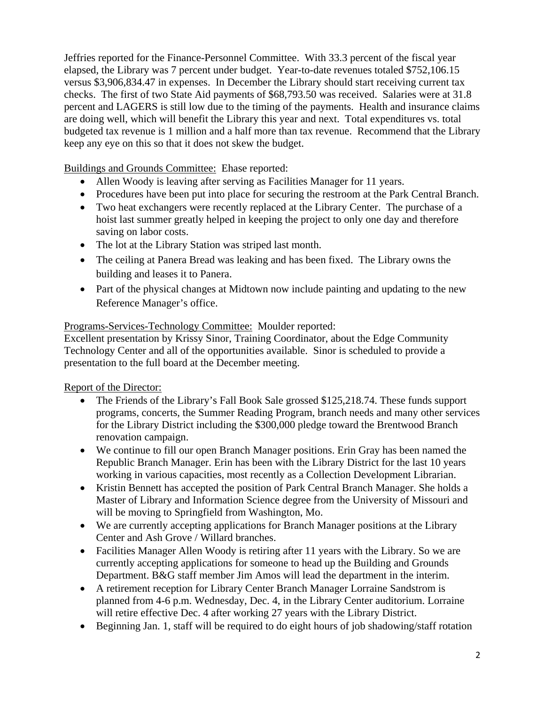Jeffries reported for the Finance-Personnel Committee. With 33.3 percent of the fiscal year elapsed, the Library was 7 percent under budget. Year-to-date revenues totaled \$752,106.15 versus \$3,906,834.47 in expenses. In December the Library should start receiving current tax checks. The first of two State Aid payments of \$68,793.50 was received. Salaries were at 31.8 percent and LAGERS is still low due to the timing of the payments. Health and insurance claims are doing well, which will benefit the Library this year and next. Total expenditures vs. total budgeted tax revenue is 1 million and a half more than tax revenue. Recommend that the Library keep any eye on this so that it does not skew the budget.

Buildings and Grounds Committee: Ehase reported:

- Allen Woody is leaving after serving as Facilities Manager for 11 years.
- Procedures have been put into place for securing the restroom at the Park Central Branch.
- Two heat exchangers were recently replaced at the Library Center. The purchase of a hoist last summer greatly helped in keeping the project to only one day and therefore saving on labor costs.
- The lot at the Library Station was striped last month.
- The ceiling at Panera Bread was leaking and has been fixed. The Library owns the building and leases it to Panera.
- Part of the physical changes at Midtown now include painting and updating to the new Reference Manager's office.

## Programs-Services-Technology Committee: Moulder reported:

Excellent presentation by Krissy Sinor, Training Coordinator, about the Edge Community Technology Center and all of the opportunities available. Sinor is scheduled to provide a presentation to the full board at the December meeting.

Report of the Director:

- The Friends of the Library's Fall Book Sale grossed \$125,218.74. These funds support programs, concerts, the Summer Reading Program, branch needs and many other services for the Library District including the \$300,000 pledge toward the Brentwood Branch renovation campaign.
- We continue to fill our open Branch Manager positions. Erin Gray has been named the Republic Branch Manager. Erin has been with the Library District for the last 10 years working in various capacities, most recently as a Collection Development Librarian.
- Kristin Bennett has accepted the position of Park Central Branch Manager. She holds a Master of Library and Information Science degree from the University of Missouri and will be moving to Springfield from Washington, Mo.
- We are currently accepting applications for Branch Manager positions at the Library Center and Ash Grove / Willard branches.
- Facilities Manager Allen Woody is retiring after 11 years with the Library. So we are currently accepting applications for someone to head up the Building and Grounds Department. B&G staff member Jim Amos will lead the department in the interim.
- A retirement reception for Library Center Branch Manager Lorraine Sandstrom is planned from 4-6 p.m. Wednesday, Dec. 4, in the Library Center auditorium. Lorraine will retire effective Dec. 4 after working 27 years with the Library District.
- Beginning Jan. 1, staff will be required to do eight hours of job shadowing/staff rotation